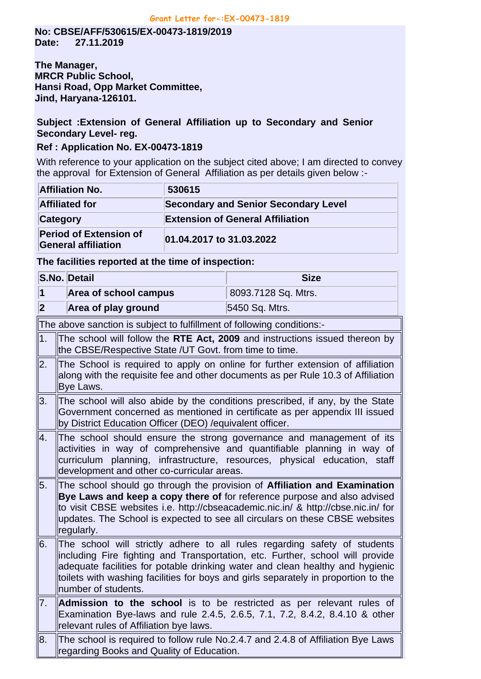**No: CBSE/AFF/530615/EX-00473-1819/2019 Date: 27.11.2019**

**The Manager, MRCR Public School, Hansi Road, Opp Market Committee, Jind, Haryana-126101.**

## **Subject :Extension of General Affiliation up to Secondary and Senior Secondary Level- reg.**

## **Ref : Application No. EX-00473-1819**

With reference to your application on the subject cited above; I am directed to convey the approval for Extension of General Affiliation as per details given below :-

| <b>Affiliation No.</b>                                      | 530615                                      |
|-------------------------------------------------------------|---------------------------------------------|
| <b>Affiliated for</b>                                       | <b>Secondary and Senior Secondary Level</b> |
| Category                                                    | <b>Extension of General Affiliation</b>     |
| <b>Period of Extension of</b><br><b>General affiliation</b> | 01.04.2017 to 31.03.2022                    |

## **The facilities reported at the time of inspection:**

|                         | S.No. Detail                                                                                                                                                                                                                                                                                                                                             | <b>Size</b>                                                                                                                                                                                                                 |  |
|-------------------------|----------------------------------------------------------------------------------------------------------------------------------------------------------------------------------------------------------------------------------------------------------------------------------------------------------------------------------------------------------|-----------------------------------------------------------------------------------------------------------------------------------------------------------------------------------------------------------------------------|--|
| $\mathbf 1$             | Area of school campus                                                                                                                                                                                                                                                                                                                                    | 8093.7128 Sq. Mtrs.                                                                                                                                                                                                         |  |
| $\overline{\mathbf{2}}$ | Area of play ground                                                                                                                                                                                                                                                                                                                                      | 5450 Sq. Mtrs.                                                                                                                                                                                                              |  |
|                         | The above sanction is subject to fulfillment of following conditions:-                                                                                                                                                                                                                                                                                   |                                                                                                                                                                                                                             |  |
| 1.                      | The school will follow the RTE Act, 2009 and instructions issued thereon by<br>the CBSE/Respective State /UT Govt. from time to time.                                                                                                                                                                                                                    |                                                                                                                                                                                                                             |  |
| 2.                      | The School is required to apply on online for further extension of affiliation<br>along with the requisite fee and other documents as per Rule 10.3 of Affiliation<br>Bye Laws.                                                                                                                                                                          |                                                                                                                                                                                                                             |  |
| 3.                      | The school will also abide by the conditions prescribed, if any, by the State<br>Government concerned as mentioned in certificate as per appendix III issued<br>by District Education Officer (DEO) / equivalent officer.                                                                                                                                |                                                                                                                                                                                                                             |  |
| 4.                      | development and other co-curricular areas.                                                                                                                                                                                                                                                                                                               | The school should ensure the strong governance and management of its<br>activities in way of comprehensive and quantifiable planning in way of<br>curriculum planning, infrastructure, resources, physical education, staff |  |
| 5.                      | The school should go through the provision of Affiliation and Examination<br>Bye Laws and keep a copy there of for reference purpose and also advised<br>to visit CBSE websites i.e. http://cbseacademic.nic.in/ & http://cbse.nic.in/ for<br>updates. The School is expected to see all circulars on these CBSE websites<br>regularly.                  |                                                                                                                                                                                                                             |  |
| l6.                     | The school will strictly adhere to all rules regarding safety of students<br>including Fire fighting and Transportation, etc. Further, school will provide<br>adequate facilities for potable drinking water and clean healthy and hygienic<br>toilets with washing facilities for boys and girls separately in proportion to the<br>number of students. |                                                                                                                                                                                                                             |  |
| $\overline{7}$ .        | relevant rules of Affiliation bye laws.                                                                                                                                                                                                                                                                                                                  | <b>Admission to the school</b> is to be restricted as per relevant rules of<br>Examination Bye-laws and rule 2.4.5, 2.6.5, 7.1, 7.2, 8.4.2, 8.4.10 & other                                                                  |  |
| 8.                      | regarding Books and Quality of Education.                                                                                                                                                                                                                                                                                                                | The school is required to follow rule No.2.4.7 and 2.4.8 of Affiliation Bye Laws                                                                                                                                            |  |